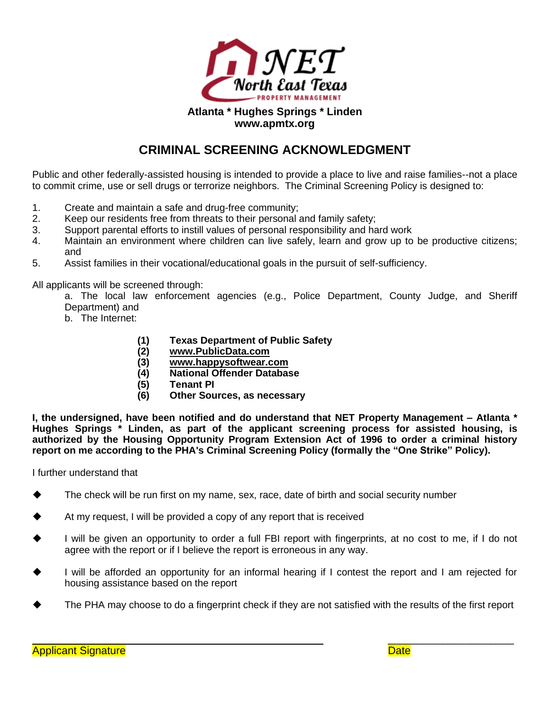

## **Atlanta \* Hughes Springs \* Linden www.apmtx.org**

## **CRIMINAL SCREENING ACKNOWLEDGMENT**

Public and other federally-assisted housing is intended to provide a place to live and raise families--not a place to commit crime, use or sell drugs or terrorize neighbors. The Criminal Screening Policy is designed to:

- 1. Create and maintain a safe and drug-free community;
- 2. Keep our residents free from threats to their personal and family safety;
- 3. Support parental efforts to instill values of personal responsibility and hard work
- 4. Maintain an environment where children can live safely, learn and grow up to be productive citizens; and
- 5. Assist families in their vocational/educational goals in the pursuit of self-sufficiency.

All applicants will be screened through:

a. The local law enforcement agencies (e.g., Police Department, County Judge, and Sheriff Department) and

- b. The Internet:
	- **(1) Texas Department of Public Safety**
	- **(2) [www.PublicData.com](http://www.publicdata.com/)**
	- **(3) [www.happysoftwear.com](http://www.happysoftwear.com/)**
	- **(4) National Offender Database**
	- **(5) Tenant PI**
	- **(6) Other Sources, as necessary**

**I, the undersigned, have been notified and do understand that NET Property Management – Atlanta \* Hughes Springs \* Linden, as part of the applicant screening process for assisted housing, is authorized by the Housing Opportunity Program Extension Act of 1996 to order a criminal history report on me according to the PHA's Criminal Screening Policy (formally the "One Strike" Policy).**

I further understand that

- The check will be run first on my name, sex, race, date of birth and social security number
- At my request, I will be provided a copy of any report that is received
- I will be given an opportunity to order a full FBI report with fingerprints, at no cost to me, if I do not agree with the report or if I believe the report is erroneous in any way.
- I will be afforded an opportunity for an informal hearing if I contest the report and I am rejected for housing assistance based on the report
- The PHA may choose to do a fingerprint check if they are not satisfied with the results of the first report